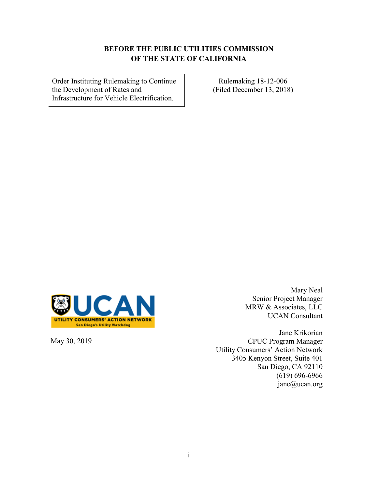# **BEFORE THE PUBLIC UTILITIES COMMISSION OF THE STATE OF CALIFORNIA**

Order Instituting Rulemaking to Continue the Development of Rates and Infrastructure for Vehicle Electrification.

Rulemaking 18-12-006 (Filed December 13, 2018)



May 30, 2019

Mary Neal Senior Project Manager MRW & Associates, LLC UCAN Consultant

Jane Krikorian CPUC Program Manager Utility Consumers' Action Network 3405 Kenyon Street, Suite 401 San Diego, CA 92110 (619) 696-6966 jane@ucan.org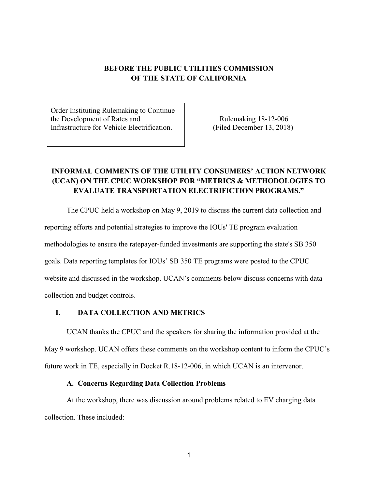# **BEFORE THE PUBLIC UTILITIES COMMISSION OF THE STATE OF CALIFORNIA**

Order Instituting Rulemaking to Continue the Development of Rates and Infrastructure for Vehicle Electrification.

Rulemaking 18-12-006 (Filed December 13, 2018)

# **INFORMAL COMMENTS OF THE UTILITY CONSUMERS' ACTION NETWORK (UCAN) ON THE CPUC WORKSHOP FOR "METRICS & METHODOLOGIES TO EVALUATE TRANSPORTATION ELECTRIFICTION PROGRAMS."**

The CPUC held a workshop on May 9, 2019 to discuss the current data collection and reporting efforts and potential strategies to improve the IOUs' TE program evaluation methodologies to ensure the ratepayer-funded investments are supporting the state's SB 350 goals. Data reporting templates for IOUs' SB 350 TE programs were posted to the CPUC website and discussed in the workshop. UCAN's comments below discuss concerns with data collection and budget controls.

## **I. DATA COLLECTION AND METRICS**

UCAN thanks the CPUC and the speakers for sharing the information provided at the May 9 workshop. UCAN offers these comments on the workshop content to inform the CPUC's future work in TE, especially in Docket R.18-12-006, in which UCAN is an intervenor.

#### **A. Concerns Regarding Data Collection Problems**

At the workshop, there was discussion around problems related to EV charging data collection. These included: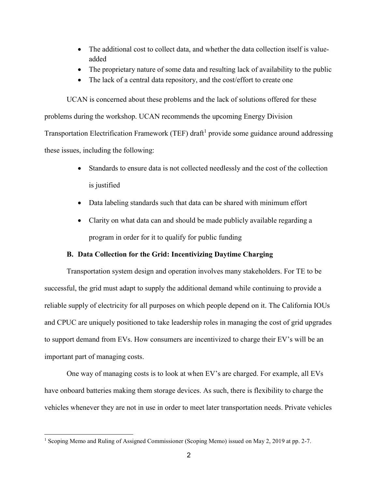- The additional cost to collect data, and whether the data collection itself is valueadded
- The proprietary nature of some data and resulting lack of availability to the public
- The lack of a central data repository, and the cost/effort to create one

UCAN is concerned about these problems and the lack of solutions offered for these problems during the workshop. UCAN recommends the upcoming Energy Division Transportation Electrification Framework (TEF) draft<sup>1</sup> provide some guidance around addressing these issues, including the following:

- Standards to ensure data is not collected needlessly and the cost of the collection is justified
- Data labeling standards such that data can be shared with minimum effort
- Clarity on what data can and should be made publicly available regarding a program in order for it to qualify for public funding

## **B. Data Collection for the Grid: Incentivizing Daytime Charging**

Transportation system design and operation involves many stakeholders. For TE to be successful, the grid must adapt to supply the additional demand while continuing to provide a reliable supply of electricity for all purposes on which people depend on it. The California IOUs and CPUC are uniquely positioned to take leadership roles in managing the cost of grid upgrades to support demand from EVs. How consumers are incentivized to charge their EV's will be an important part of managing costs.

One way of managing costs is to look at when EV's are charged. For example, all EVs have onboard batteries making them storage devices. As such, there is flexibility to charge the vehicles whenever they are not in use in order to meet later transportation needs. Private vehicles

<sup>1</sup> Scoping Memo and Ruling of Assigned Commissioner (Scoping Memo) issued on May 2, 2019 at pp. 2-7.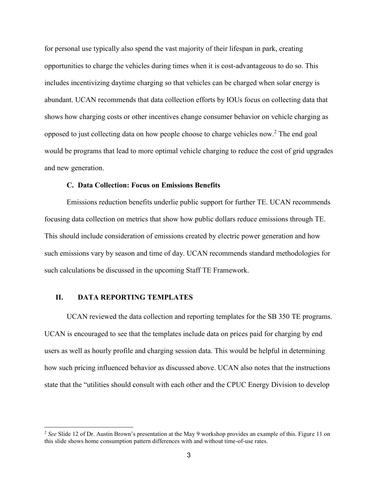for personal use typically also spend the vast majority of their lifespan in park, creating opportunities to charge the vehicles during times when it is cost-advantageous to do so. This includes incentivizing daytime charging so that vehicles can be charged when solar energy is abundant. UCAN recommends that data collection efforts by IOUs focus on collecting data that shows how charging costs or other incentives change consumer behavior on vehicle charging as opposed to just collecting data on how people choose to charge vehicles now.<sup>2</sup> The end goal would be programs that lead to more optimal vehicle charging to reduce the cost of grid upgrades and new generation.

### **C. Data Collection: Focus on Emissions Benefits**

Emissions reduction benefits underlie public support for further TE. UCAN recommends focusing data collection on metrics that show how public dollars reduce emissions through TE. This should include consideration of emissions created by electric power generation and how such emissions vary by season and time of day. UCAN recommends standard methodologies for such calculations be discussed in the upcoming Staff TE Framework.

## **II. DATA REPORTING TEMPLATES**

UCAN reviewed the data collection and reporting templates for the SB 350 TE programs. UCAN is encouraged to see that the templates include data on prices paid for charging by end users as well as hourly profile and charging session data. This would be helpful in determining how such pricing influenced behavior as discussed above. UCAN also notes that the instructions state that the "utilities should consult with each other and the CPUC Energy Division to develop

<sup>2</sup> *See* Slide 12 of Dr. Austin Brown's presentation at the May 9 workshop provides an example of this. Figure 11 on this slide shows home consumption pattern differences with and without time-of-use rates.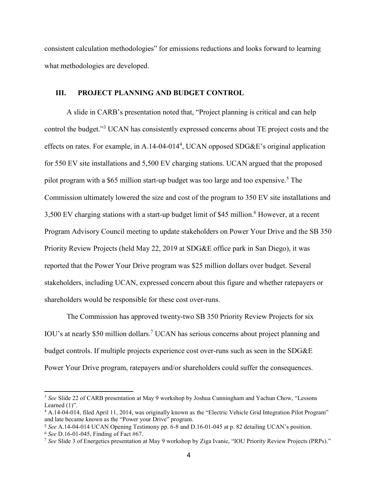consistent calculation methodologies" for emissions reductions and looks forward to learning what methodologies are developed.

### **III. PROJECT PLANNING AND BUDGET CONTROL**

A slide in CARB's presentation noted that, "Project planning is critical and can help control the budget."<sup>3</sup> UCAN has consistently expressed concerns about TE project costs and the effects on rates. For example, in A.14-04-014<sup>4</sup>, UCAN opposed SDG&E's original application for 550 EV site installations and 5,500 EV charging stations. UCAN argued that the proposed pilot program with a \$65 million start-up budget was too large and too expensive.<sup>5</sup> The Commission ultimately lowered the size and cost of the program to 350 EV site installations and 3,500 EV charging stations with a start-up budget limit of \$45 million. <sup>6</sup> However, at a recent Program Advisory Council meeting to update stakeholders on Power Your Drive and the SB 350 Priority Review Projects (held May 22, 2019 at SDG&E office park in San Diego), it was reported that the Power Your Drive program was \$25 million dollars over budget. Several stakeholders, including UCAN, expressed concern about this figure and whether ratepayers or shareholders would be responsible for these cost over-runs.

The Commission has approved twenty-two SB 350 Priority Review Projects for six IOU's at nearly \$50 million dollars.<sup>7</sup> UCAN has serious concerns about project planning and budget controls. If multiple projects experience cost over-runs such as seen in the SDG&E Power Your Drive program, ratepayers and/or shareholders could suffer the consequences.

 $\overline{a}$ 

<sup>3</sup> *See* Slide 22 of CARB presentation at May 9 workshop by Joshua Cunningham and Yachun Chow, "Lessons Learned (1)".

<sup>4</sup> A.14-04-014, filed April 11, 2014, was originally known as the "Electric Vehicle Grid Integration Pilot Program" and late became known as the "Power your Drive" program.

<sup>5</sup> *See* A.14-04-014 UCAN Opening Testimony pp. 6-8 and D.16-01-045 at p. 82 detailing UCAN's position. <sup>6</sup> *See* D.16-01-045, Finding of Fact #67.

<sup>7</sup> *See* Slide 3 of Energetics presentation at May 9 workshop by Ziga Ivanic, "IOU Priority Review Projects (PRPs)."